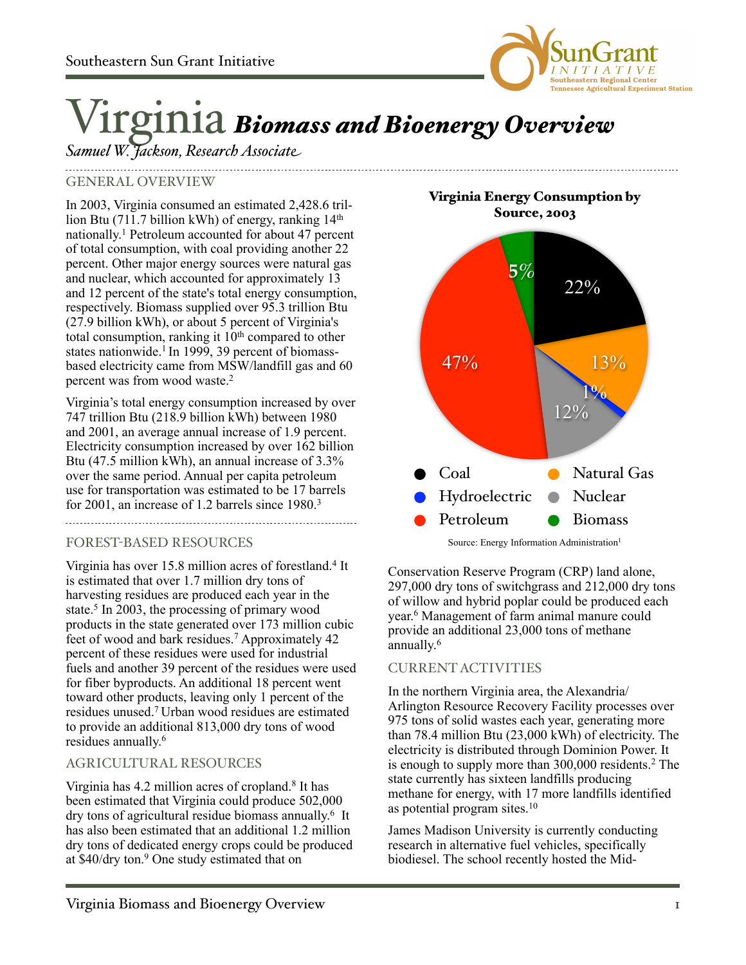

# Virginia *Biomass and Bioenergy Overview*

*Samuel W. Jackson, Research Associate*

# GENERAL OVERVIEW

In 2003, Virginia consumed an estimated 2,428.6 trillion Btu (711.7 billion kWh) of energy, ranking 14th nationally. 1 Petroleum accounted for about 47 percent of total consumption, with coal providing another 22 percent. Other major energy sources were natural gas and nuclear, which accounted for approximately 13 and 12 percent of the state's total energy consumption, respectively. Biomass supplied over 95.3 trillion Btu (27.9 billion kWh), or about 5 percent of Virginia's total consumption, ranking it  $10<sup>th</sup>$  compared to other states nationwide.<sup>1</sup> In 1999, 39 percent of biomassbased electricity came from MSW/landfill gas and 60 percent was from wood waste.2

Virginia's total energy consumption increased by over 747 trillion Btu (218.9 billion kWh) between 1980 and 2001, an average annual increase of 1.9 percent. Electricity consumption increased by over 162 billion Btu (47.5 million kWh), an annual increase of 3.3% over the same period. Annual per capita petroleum use for transportation was estimated to be 17 barrels for 2001, an increase of 1.2 barrels since 1980.3

## FOREST-BASED RESOURCES

Virginia has over 15.8 million acres of forestland.4 It is estimated that over 1.7 million dry tons of harvesting residues are produced each year in the state.<sup>5</sup> In 2003, the processing of primary wood products in the state generated over 173 million cubic feet of wood and bark residues.<sup>7</sup> Approximately 42 percent of these residues were used for industrial fuels and another 39 percent of the residues were used for fiber byproducts. An additional 18 percent went toward other products, leaving only 1 percent of the residues unused.7 Urban wood residues are estimated to provide an additional 813,000 dry tons of wood residues annually. 6

## AGRICULTURAL RESOURCES

Virginia has 4.2 million acres of cropland.8 It has been estimated that Virginia could produce 502,000 dry tons of agricultural residue biomass annually. 6 It has also been estimated that an additional 1.2 million dry tons of dedicated energy crops could be produced at \$40/dry ton.9 One study estimated that on

Virginia Energy Consumption by Source, 2003



Source: Energy Information Administration<sup>1</sup>

Conservation Reserve Program (CRP) land alone, 297,000 dry tons of switchgrass and 212,000 dry tons of willow and hybrid poplar could be produced each year. 6 Management of farm animal manure could provide an additional 23,000 tons of methane annually. 6

## CURRENT ACTIVITIES

In the northern Virginia area, the Alexandria/ Arlington Resource Recovery Facility processes over 975 tons of solid wastes each year, generating more than 78.4 million Btu (23,000 kWh) of electricity. The electricity is distributed through Dominion Power. It is enough to supply more than 300,000 residents.2 The state currently has sixteen landfills producing methane for energy, with 17 more landfills identified as potential program sites.10

James Madison University is currently conducting research in alternative fuel vehicles, specifically biodiesel. The school recently hosted the Mid